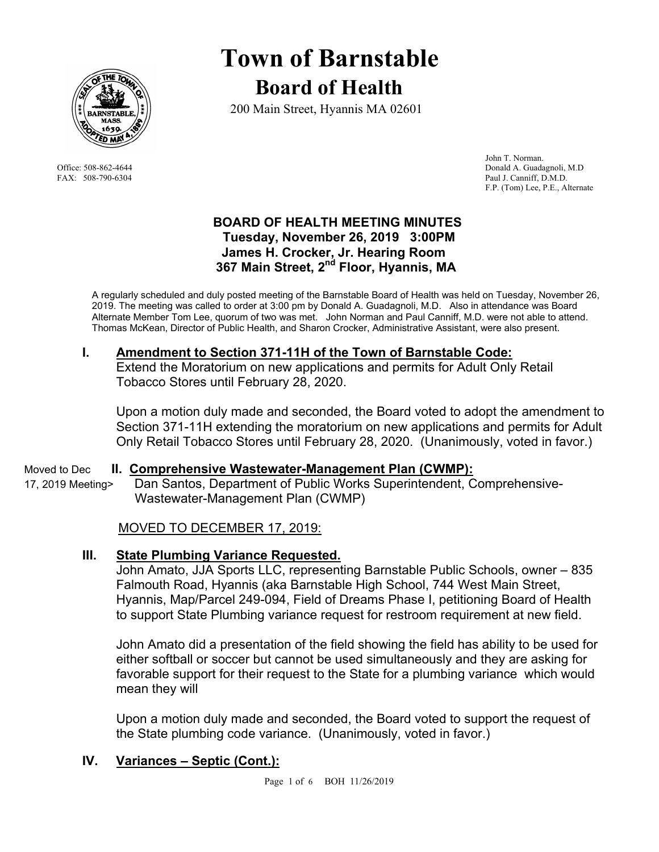

# **Town of Barnstable Board of Health**

200 Main Street, Hyannis MA 02601

 John T. Norman. Office: 508-862-4644 Donald A. Guadagnoli, M.D FAX: 508-790-6304 Paul J. Canniff, D.M.D. F.P. (Tom) Lee, P.E., Alternate

### **BOARD OF HEALTH MEETING MINUTES Tuesday, November 26, 2019 3:00PM James H. Crocker, Jr. Hearing Room 367 Main Street, 2nd Floor, Hyannis, MA**

A regularly scheduled and duly posted meeting of the Barnstable Board of Health was held on Tuesday, November 26, 2019. The meeting was called to order at 3:00 pm by Donald A. Guadagnoli, M.D. Also in attendance was Board Alternate Member Tom Lee, quorum of two was met. John Norman and Paul Canniff, M.D. were not able to attend. Thomas McKean, Director of Public Health, and Sharon Crocker, Administrative Assistant, were also present.

## **I. Amendment to Section 371-11H of the Town of Barnstable Code:**

Extend the Moratorium on new applications and permits for Adult Only Retail Tobacco Stores until February 28, 2020.

Upon a motion duly made and seconded, the Board voted to adopt the amendment to Section 371-11H extending the moratorium on new applications and permits for Adult Only Retail Tobacco Stores until February 28, 2020. (Unanimously, voted in favor.)

Moved to Dec **II. Comprehensive Wastewater-Management Plan (CWMP):** 

17, 2019 Meeting>Dan Santos, Department of Public Works Superintendent, Comprehensive- Wastewater-Management Plan (CWMP)

## MOVED TO DECEMBER 17, 2019:

## **III. State Plumbing Variance Requested.**

John Amato, JJA Sports LLC, representing Barnstable Public Schools, owner – 835 Falmouth Road, Hyannis (aka Barnstable High School, 744 West Main Street, Hyannis, Map/Parcel 249-094, Field of Dreams Phase I, petitioning Board of Health to support State Plumbing variance request for restroom requirement at new field.

John Amato did a presentation of the field showing the field has ability to be used for either softball or soccer but cannot be used simultaneously and they are asking for favorable support for their request to the State for a plumbing variance which would mean they will

Upon a motion duly made and seconded, the Board voted to support the request of the State plumbing code variance. (Unanimously, voted in favor.)

## **IV. Variances – Septic (Cont.):**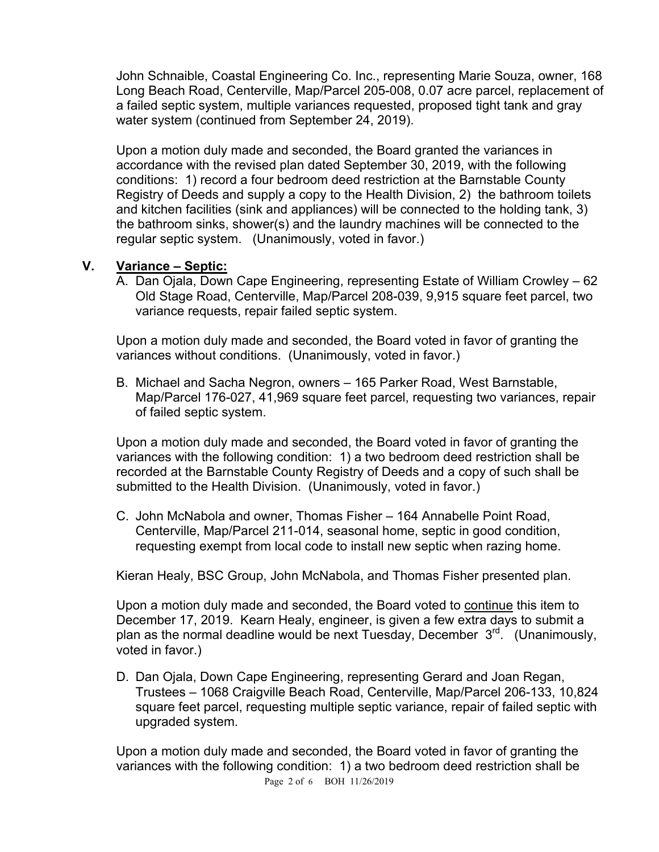John Schnaible, Coastal Engineering Co. Inc., representing Marie Souza, owner, 168 Long Beach Road, Centerville, Map/Parcel 205-008, 0.07 acre parcel, replacement of a failed septic system, multiple variances requested, proposed tight tank and gray water system (continued from September 24, 2019).

Upon a motion duly made and seconded, the Board granted the variances in accordance with the revised plan dated September 30, 2019, with the following conditions: 1) record a four bedroom deed restriction at the Barnstable County Registry of Deeds and supply a copy to the Health Division, 2) the bathroom toilets and kitchen facilities (sink and appliances) will be connected to the holding tank, 3) the bathroom sinks, shower(s) and the laundry machines will be connected to the regular septic system. (Unanimously, voted in favor.)

#### **V. Variance – Septic:**

A. Dan Ojala, Down Cape Engineering, representing Estate of William Crowley – 62 Old Stage Road, Centerville, Map/Parcel 208-039, 9,915 square feet parcel, two variance requests, repair failed septic system.

Upon a motion duly made and seconded, the Board voted in favor of granting the variances without conditions. (Unanimously, voted in favor.)

B. Michael and Sacha Negron, owners – 165 Parker Road, West Barnstable, Map/Parcel 176-027, 41,969 square feet parcel, requesting two variances, repair of failed septic system.

Upon a motion duly made and seconded, the Board voted in favor of granting the variances with the following condition: 1) a two bedroom deed restriction shall be recorded at the Barnstable County Registry of Deeds and a copy of such shall be submitted to the Health Division. (Unanimously, voted in favor.)

C. John McNabola and owner, Thomas Fisher – 164 Annabelle Point Road, Centerville, Map/Parcel 211-014, seasonal home, septic in good condition, requesting exempt from local code to install new septic when razing home.

Kieran Healy, BSC Group, John McNabola, and Thomas Fisher presented plan.

Upon a motion duly made and seconded, the Board voted to continue this item to December 17, 2019. Kearn Healy, engineer, is given a few extra days to submit a plan as the normal deadline would be next Tuesday, December  $3<sup>rd</sup>$ . (Unanimously, voted in favor.)

D. Dan Ojala, Down Cape Engineering, representing Gerard and Joan Regan, Trustees – 1068 Craigville Beach Road, Centerville, Map/Parcel 206-133, 10,824 square feet parcel, requesting multiple septic variance, repair of failed septic with upgraded system.

Upon a motion duly made and seconded, the Board voted in favor of granting the variances with the following condition: 1) a two bedroom deed restriction shall be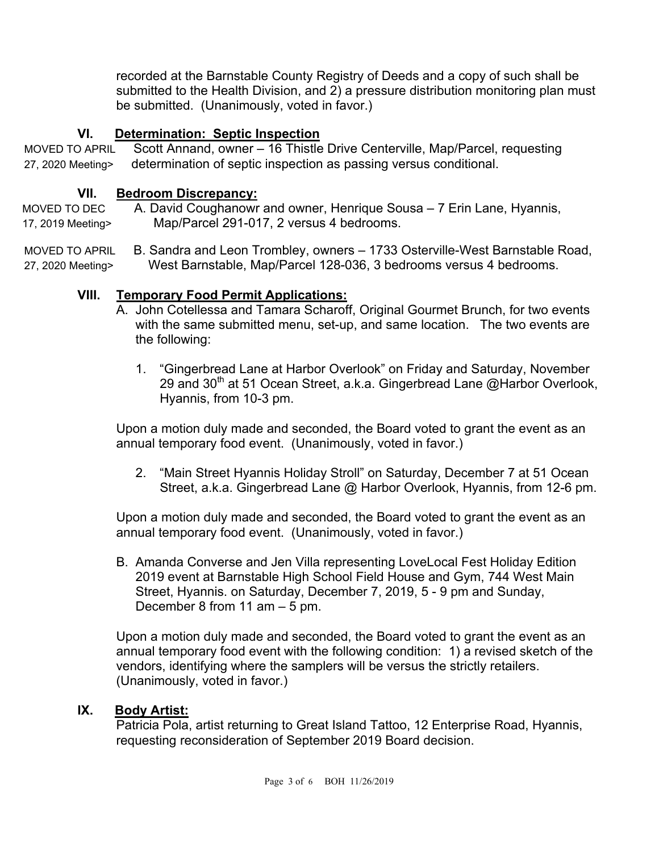recorded at the Barnstable County Registry of Deeds and a copy of such shall be submitted to the Health Division, and 2) a pressure distribution monitoring plan must be submitted. (Unanimously, voted in favor.)

### **VI. Determination: Septic Inspection**

MOVED TO APRIL Scott Annand, owner – 16 Thistle Drive Centerville, Map/Parcel, requesting 27, 2020 Meeting> determination of septic inspection as passing versus conditional.

#### **VII. Bedroom Discrepancy:**

MOVED TO DEC A. David Coughanowr and owner, Henrique Sousa – 7 Erin Lane, Hyannis, 17, 2019 Meeting> Map/Parcel 291-017, 2 versus 4 bedrooms.

MOVED TO APRIL B. Sandra and Leon Trombley, owners – 1733 Osterville-West Barnstable Road, 27, 2020 Meeting> West Barnstable, Map/Parcel 128-036, 3 bedrooms versus 4 bedrooms.

### **VIII. Temporary Food Permit Applications:**

- A. John Cotellessa and Tamara Scharoff, Original Gourmet Brunch, for two events with the same submitted menu, set-up, and same location. The two events are the following:
	- 1. "Gingerbread Lane at Harbor Overlook" on Friday and Saturday, November 29 and 30<sup>th</sup> at 51 Ocean Street, a.k.a. Gingerbread Lane @Harbor Overlook, Hyannis, from 10-3 pm.

Upon a motion duly made and seconded, the Board voted to grant the event as an annual temporary food event. (Unanimously, voted in favor.)

2. "Main Street Hyannis Holiday Stroll" on Saturday, December 7 at 51 Ocean Street, a.k.a. Gingerbread Lane @ Harbor Overlook, Hyannis, from 12-6 pm.

Upon a motion duly made and seconded, the Board voted to grant the event as an annual temporary food event. (Unanimously, voted in favor.)

B. Amanda Converse and Jen Villa representing LoveLocal Fest Holiday Edition 2019 event at Barnstable High School Field House and Gym, 744 West Main Street, Hyannis. on Saturday, December 7, 2019, 5 - 9 pm and Sunday, December 8 from 11 am – 5 pm.

Upon a motion duly made and seconded, the Board voted to grant the event as an annual temporary food event with the following condition: 1) a revised sketch of the vendors, identifying where the samplers will be versus the strictly retailers. (Unanimously, voted in favor.)

#### **IX. Body Artist:**

Patricia Pola, artist returning to Great Island Tattoo, 12 Enterprise Road, Hyannis, requesting reconsideration of September 2019 Board decision.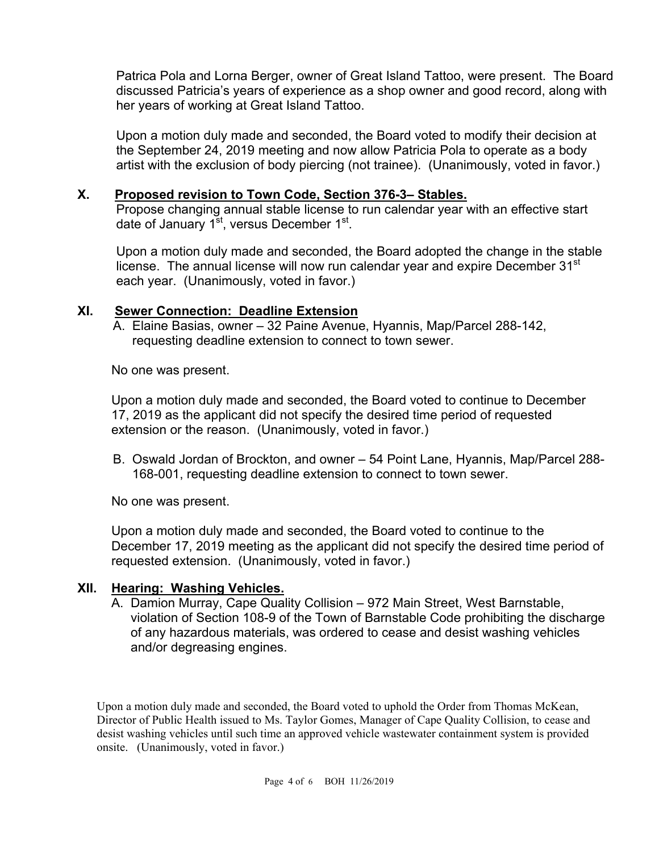Patrica Pola and Lorna Berger, owner of Great Island Tattoo, were present. The Board discussed Patricia's years of experience as a shop owner and good record, along with her years of working at Great Island Tattoo.

Upon a motion duly made and seconded, the Board voted to modify their decision at the September 24, 2019 meeting and now allow Patricia Pola to operate as a body artist with the exclusion of body piercing (not trainee). (Unanimously, voted in favor.)

## **X. Proposed revision to Town Code, Section 376-3– Stables.**

Propose changing annual stable license to run calendar year with an effective start date of January 1<sup>st</sup>, versus December 1<sup>st</sup>.

Upon a motion duly made and seconded, the Board adopted the change in the stable license. The annual license will now run calendar year and expire December  $31<sup>st</sup>$ each year. (Unanimously, voted in favor.)

### **XI. Sewer Connection: Deadline Extension**

A. Elaine Basias, owner – 32 Paine Avenue, Hyannis, Map/Parcel 288-142, requesting deadline extension to connect to town sewer.

No one was present.

Upon a motion duly made and seconded, the Board voted to continue to December 17, 2019 as the applicant did not specify the desired time period of requested extension or the reason. (Unanimously, voted in favor.)

B. Oswald Jordan of Brockton, and owner – 54 Point Lane, Hyannis, Map/Parcel 288- 168-001, requesting deadline extension to connect to town sewer.

No one was present.

Upon a motion duly made and seconded, the Board voted to continue to the December 17, 2019 meeting as the applicant did not specify the desired time period of requested extension. (Unanimously, voted in favor.)

#### **XII. Hearing: Washing Vehicles.**

A. Damion Murray, Cape Quality Collision – 972 Main Street, West Barnstable, violation of Section 108-9 of the Town of Barnstable Code prohibiting the discharge of any hazardous materials, was ordered to cease and desist washing vehicles and/or degreasing engines.

Upon a motion duly made and seconded, the Board voted to uphold the Order from Thomas McKean, Director of Public Health issued to Ms. Taylor Gomes, Manager of Cape Quality Collision, to cease and desist washing vehicles until such time an approved vehicle wastewater containment system is provided onsite. (Unanimously, voted in favor.)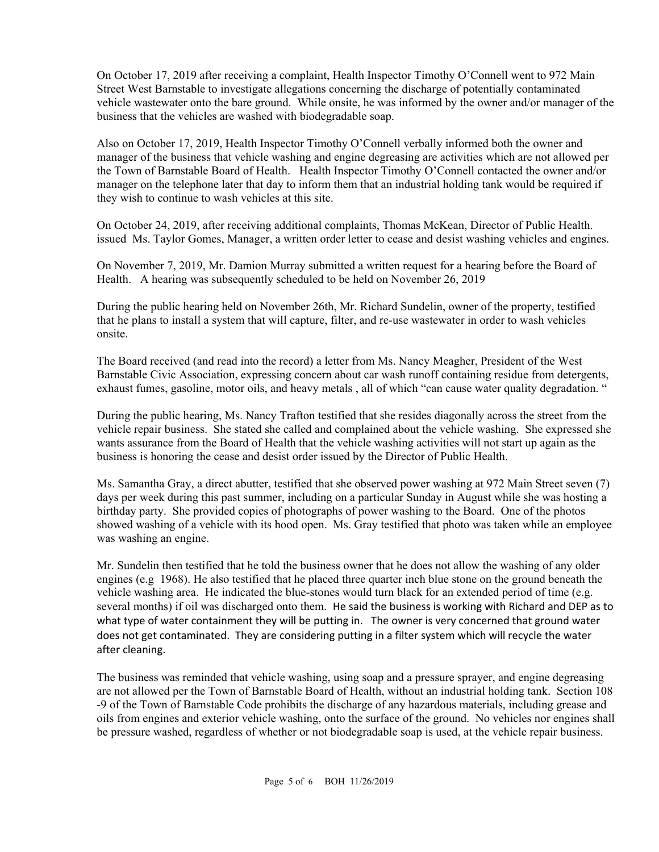On October 17, 2019 after receiving a complaint, Health Inspector Timothy O'Connell went to 972 Main Street West Barnstable to investigate allegations concerning the discharge of potentially contaminated vehicle wastewater onto the bare ground. While onsite, he was informed by the owner and/or manager of the business that the vehicles are washed with biodegradable soap.

Also on October 17, 2019, Health Inspector Timothy O'Connell verbally informed both the owner and manager of the business that vehicle washing and engine degreasing are activities which are not allowed per the Town of Barnstable Board of Health. Health Inspector Timothy O'Connell contacted the owner and/or manager on the telephone later that day to inform them that an industrial holding tank would be required if they wish to continue to wash vehicles at this site.

On October 24, 2019, after receiving additional complaints, Thomas McKean, Director of Public Health. issued Ms. Taylor Gomes, Manager, a written order letter to cease and desist washing vehicles and engines.

On November 7, 2019, Mr. Damion Murray submitted a written request for a hearing before the Board of Health. A hearing was subsequently scheduled to be held on November 26, 2019

During the public hearing held on November 26th, Mr. Richard Sundelin, owner of the property, testified that he plans to install a system that will capture, filter, and re-use wastewater in order to wash vehicles onsite.

The Board received (and read into the record) a letter from Ms. Nancy Meagher, President of the West Barnstable Civic Association, expressing concern about car wash runoff containing residue from detergents, exhaust fumes, gasoline, motor oils, and heavy metals , all of which "can cause water quality degradation. "

During the public hearing, Ms. Nancy Trafton testified that she resides diagonally across the street from the vehicle repair business. She stated she called and complained about the vehicle washing. She expressed she wants assurance from the Board of Health that the vehicle washing activities will not start up again as the business is honoring the cease and desist order issued by the Director of Public Health.

Ms. Samantha Gray, a direct abutter, testified that she observed power washing at 972 Main Street seven (7) days per week during this past summer, including on a particular Sunday in August while she was hosting a birthday party. She provided copies of photographs of power washing to the Board. One of the photos showed washing of a vehicle with its hood open. Ms. Gray testified that photo was taken while an employee was washing an engine.

Mr. Sundelin then testified that he told the business owner that he does not allow the washing of any older engines (e.g 1968). He also testified that he placed three quarter inch blue stone on the ground beneath the vehicle washing area. He indicated the blue-stones would turn black for an extended period of time (e.g. several months) if oil was discharged onto them. He said the business is working with Richard and DEP as to what type of water containment they will be putting in. The owner is very concerned that ground water does not get contaminated. They are considering putting in a filter system which will recycle the water after cleaning.

The business was reminded that vehicle washing, using soap and a pressure sprayer, and engine degreasing are not allowed per the Town of Barnstable Board of Health, without an industrial holding tank. Section 108 -9 of the Town of Barnstable Code prohibits the discharge of any hazardous materials, including grease and oils from engines and exterior vehicle washing, onto the surface of the ground. No vehicles nor engines shall be pressure washed, regardless of whether or not biodegradable soap is used, at the vehicle repair business.